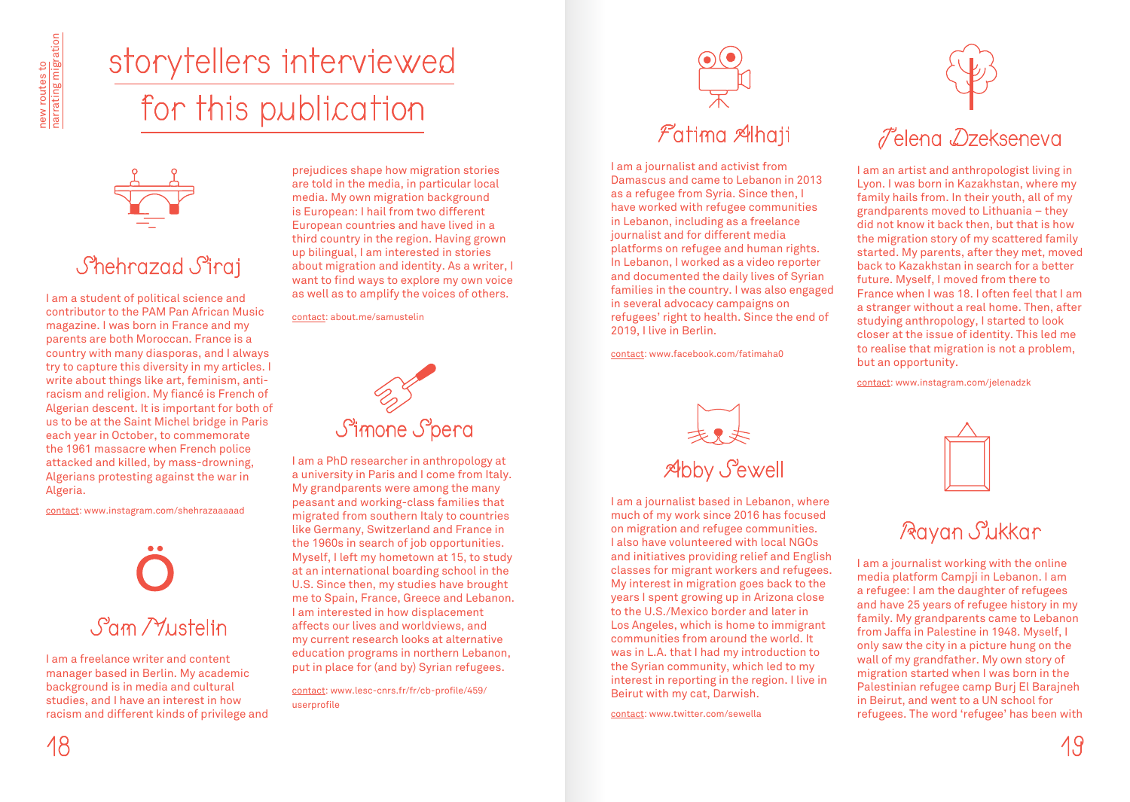# storytellers interviewed for this publication



## Shehrazad Siraj

I am a student of political science and contributor to the PAM Pan African Music magazine. I was born in France and my parents are both Moroccan. France is a country with many diasporas, and I always try to capture this diversity in my articles. I write about things like art, feminism, antiracism and religion. My fiancé is French of Algerian descent. It is important for both of us to be at the Saint Michel bridge in Paris each year in October, to commemorate the 1961 massacre when French police attacked and killed, by mass-drowning, Algerians protesting against the war in Algeria.

contact: www.instagram.com/shehrazaaaaad



I am a freelance writer and content manager based in Berlin. My academic background is in media and cultural studies, and I have an interest in how racism and different kinds of privilege and

prejudices shape how migration stories are told in the media, in particular local media. My own migration background is European: I hail from two different European countries and have lived in a third country in the region. Having grown up bilingual, I am interested in stories about migration and identity. As a writer, I want to find ways to explore my own voice as well as to amplify the voices of others.

contact: about.me/samustelin



I am a PhD researcher in anthropology at a university in Paris and I come from Italy. My grandparents were among the many peasant and working-class families that migrated from southern Italy to countries like Germany, Switzerland and France in the 1960s in search of job opportunities. Myself, I left my hometown at 15, to study at an international boarding school in the U.S. Since then, my studies have brought me to Spain, France, Greece and Lebanon. I am interested in how displacement affects our lives and worldviews, and my current research looks at alternative education programs in northern Lebanon, put in place for (and by) Syrian refugees.

contact: www.lesc-cnrs.fr/fr/cb-profile/459/ userprofile



## Fatima Alhaji

I am a journalist and activist from Damascus and came to Lebanon in 2013 as a refugee from Syria. Since then, I have worked with refugee communities in Lebanon, including as a freelance journalist and for different media platforms on refugee and human rights. In Lebanon, I worked as a video reporter and documented the daily lives of Syrian families in the country. I was also engaged in several advocacy campaigns on refugees' right to health. Since the end of 2019, I live in Berlin.

contact: www.facebook.com/fatimaha0



I am a journalist based in Lebanon, where much of my work since 2016 has focused on migration and refugee communities. I also have volunteered with local NGOs and initiatives providing relief and English classes for migrant workers and refugees. My interest in migration goes back to the years I spent growing up in Arizona close to the U.S./Mexico border and later in Los Angeles, which is home to immigrant communities from around the world. It was in L.A. that I had my introduction to the Syrian community, which led to my interest in reporting in the region. I live in Beirut with my cat, Darwish.

contact: www.twitter.com/sewella



I am an artist and anthropologist living in Lyon. I was born in Kazakhstan, where my family hails from. In their youth, all of my grandparents moved to Lithuania – they did not know it back then, but that is how the migration story of my scattered family started. My parents, after they met, moved back to Kazakhstan in search for a better future. Myself, I moved from there to France when I was 18. I often feel that I am a stranger without a real home. Then, after studying anthropology, I started to look closer at the issue of identity. This led me to realise that migration is not a problem, but an opportunity.

contact: www.instagram.com/jelenadzk



## Rayan Sukkar

I am a journalist working with the online media platform Campji in Lebanon. I am a refugee: I am the daughter of refugees and have 25 years of refugee history in my family. My grandparents came to Lebanon from Jaffa in Palestine in 1948. Myself, I only saw the city in a picture hung on the wall of my grandfather. My own story of migration started when I was born in the Palestinian refugee camp Burj El Barajneh in Beirut, and went to a UN school for refugees. The word 'refugee' has been with